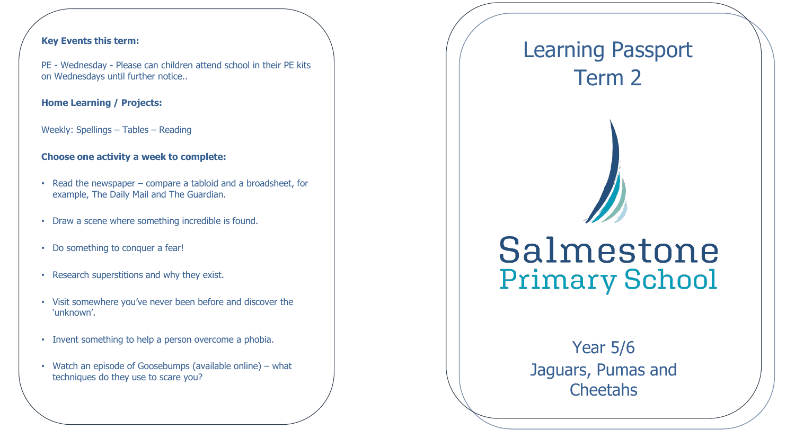### **Key Events this term:**

PE - Wednesday - Please can children attend school in their PE kits on Wednesdays until further notice..

#### **Home Learning / Projects:**

Weekly: Spellings – Tables – Reading

#### **Choose one activity a week to complete:**

- Read the newspaper compare a tabloid and a broadsheet, for example, The Daily Mail and The Guardian.
- Draw a scene where something incredible is found.
- Do something to conquer a fear!
- Research superstitions and why they exist.
- Visit somewhere you've never been before and discover the 'unknown'.
- Invent something to help a person overcome a phobia.
- Watch an episode of Goosebumps (available online) what techniques do they use to scare you?

## Learning Passport Term 2

# Salmestone **Primary School**

Year 5/6 Jaguars, Pumas and **Cheetahs**